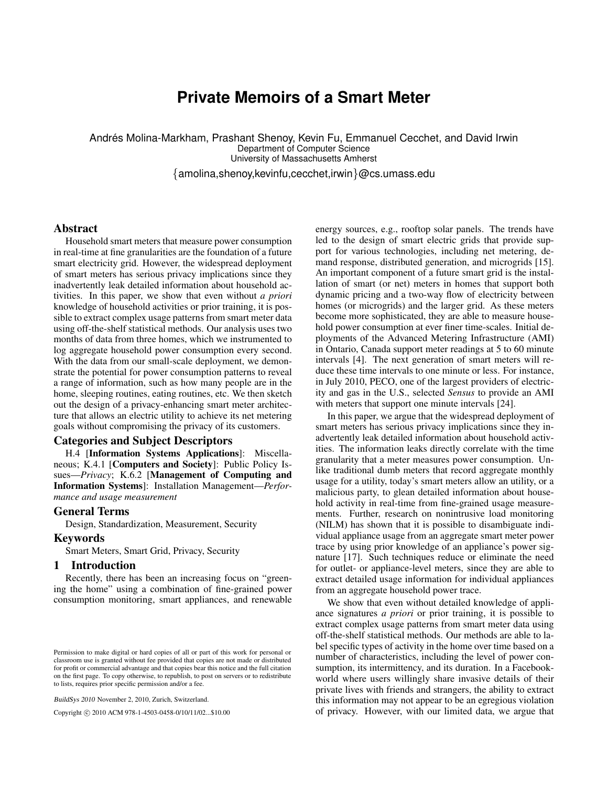# **Private Memoirs of a Smart Meter**

Andrés Molina-Markham, Prashant Shenoy, Kevin Fu, Emmanuel Cecchet, and David Irwin Department of Computer Science University of Massachusetts Amherst

{amolina,shenoy,kevinfu,cecchet,irwin}@cs.umass.edu

## Abstract

Household smart meters that measure power consumption in real-time at fine granularities are the foundation of a future smart electricity grid. However, the widespread deployment of smart meters has serious privacy implications since they inadvertently leak detailed information about household activities. In this paper, we show that even without *a priori* knowledge of household activities or prior training, it is possible to extract complex usage patterns from smart meter data using off-the-shelf statistical methods. Our analysis uses two months of data from three homes, which we instrumented to log aggregate household power consumption every second. With the data from our small-scale deployment, we demonstrate the potential for power consumption patterns to reveal a range of information, such as how many people are in the home, sleeping routines, eating routines, etc. We then sketch out the design of a privacy-enhancing smart meter architecture that allows an electric utility to achieve its net metering goals without compromising the privacy of its customers.

# Categories and Subject Descriptors

H.4 [Information Systems Applications]: Miscellaneous; K.4.1 [Computers and Society]: Public Policy Issues—*Privacy*; K.6.2 [Management of Computing and Information Systems]: Installation Management—*Performance and usage measurement*

#### General Terms

Design, Standardization, Measurement, Security

#### Keywords

Smart Meters, Smart Grid, Privacy, Security

#### 1 Introduction

Recently, there has been an increasing focus on "greening the home" using a combination of fine-grained power consumption monitoring, smart appliances, and renewable

BuildSys 2010 November 2, 2010, Zurich, Switzerland.

Copyright © 2010 ACM 978-1-4503-0458-0/10/11/02...\$10.00

energy sources, e.g., rooftop solar panels. The trends have led to the design of smart electric grids that provide support for various technologies, including net metering, demand response, distributed generation, and microgrids [15]. An important component of a future smart grid is the installation of smart (or net) meters in homes that support both dynamic pricing and a two-way flow of electricity between homes (or microgrids) and the larger grid. As these meters become more sophisticated, they are able to measure household power consumption at ever finer time-scales. Initial deployments of the Advanced Metering Infrastructure (AMI) in Ontario, Canada support meter readings at 5 to 60 minute intervals [4]. The next generation of smart meters will reduce these time intervals to one minute or less. For instance, in July 2010, PECO, one of the largest providers of electricity and gas in the U.S., selected *Sensus* to provide an AMI with meters that support one minute intervals [24].

In this paper, we argue that the widespread deployment of smart meters has serious privacy implications since they inadvertently leak detailed information about household activities. The information leaks directly correlate with the time granularity that a meter measures power consumption. Unlike traditional dumb meters that record aggregate monthly usage for a utility, today's smart meters allow an utility, or a malicious party, to glean detailed information about household activity in real-time from fine-grained usage measurements. Further, research on nonintrusive load monitoring (NILM) has shown that it is possible to disambiguate individual appliance usage from an aggregate smart meter power trace by using prior knowledge of an appliance's power signature [17]. Such techniques reduce or eliminate the need for outlet- or appliance-level meters, since they are able to extract detailed usage information for individual appliances from an aggregate household power trace.

We show that even without detailed knowledge of appliance signatures *a priori* or prior training, it is possible to extract complex usage patterns from smart meter data using off-the-shelf statistical methods. Our methods are able to label specific types of activity in the home over time based on a number of characteristics, including the level of power consumption, its intermittency, and its duration. In a Facebookworld where users willingly share invasive details of their private lives with friends and strangers, the ability to extract this information may not appear to be an egregious violation of privacy. However, with our limited data, we argue that

Permission to make digital or hard copies of all or part of this work for personal or classroom use is granted without fee provided that copies are not made or distributed for profit or commercial advantage and that copies bear this notice and the full citation on the first page. To copy otherwise, to republish, to post on servers or to redistribute to lists, requires prior specific permission and/or a fee.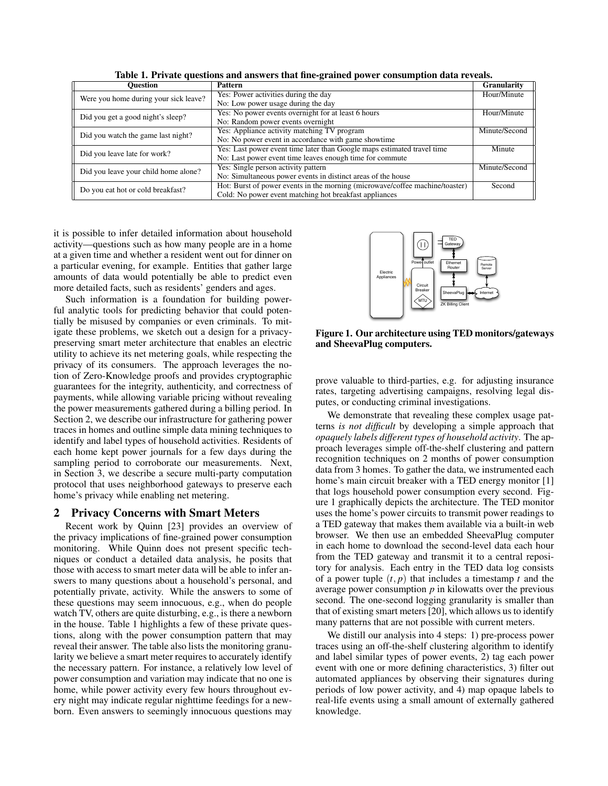| <b>Ouestion</b>                       | Pattern                                                                      | <b>Granularity</b> |
|---------------------------------------|------------------------------------------------------------------------------|--------------------|
| Were you home during your sick leave? | Yes: Power activities during the day                                         | Hour/Minute        |
|                                       | No: Low power usage during the day                                           |                    |
| Did you get a good night's sleep?     | Yes: No power events overnight for at least 6 hours                          | Hour/Minute        |
|                                       | No: Random power events overnight                                            |                    |
| Did you watch the game last night?    | Yes: Appliance activity matching TV program                                  | Minute/Second      |
|                                       | No: No power event in accordance with game showtime                          |                    |
| Did you leave late for work?          | Yes: Last power event time later than Google maps estimated travel time      | Minute             |
|                                       | No: Last power event time leaves enough time for commute                     |                    |
| Did you leave your child home alone?  | Yes: Single person activity pattern                                          | Minute/Second      |
|                                       | No: Simultaneous power events in distinct areas of the house                 |                    |
| Do you eat hot or cold breakfast?     | Hot: Burst of power events in the morning (microwave/coffee machine/toaster) | Second             |
|                                       | Cold: No power event matching hot breakfast appliances                       |                    |

Table 1. Private questions and answers that fine-grained power consumption data reveals.

it is possible to infer detailed information about household activity—questions such as how many people are in a home at a given time and whether a resident went out for dinner on a particular evening, for example. Entities that gather large amounts of data would potentially be able to predict even more detailed facts, such as residents' genders and ages.

Such information is a foundation for building powerful analytic tools for predicting behavior that could potentially be misused by companies or even criminals. To mitigate these problems, we sketch out a design for a privacypreserving smart meter architecture that enables an electric utility to achieve its net metering goals, while respecting the privacy of its consumers. The approach leverages the notion of Zero-Knowledge proofs and provides cryptographic guarantees for the integrity, authenticity, and correctness of payments, while allowing variable pricing without revealing the power measurements gathered during a billing period. In Section 2, we describe our infrastructure for gathering power traces in homes and outline simple data mining techniques to identify and label types of household activities. Residents of each home kept power journals for a few days during the sampling period to corroborate our measurements. Next, in Section 3, we describe a secure multi-party computation protocol that uses neighborhood gateways to preserve each home's privacy while enabling net metering.

#### 2 Privacy Concerns with Smart Meters

Recent work by Quinn [23] provides an overview of the privacy implications of fine-grained power consumption monitoring. While Quinn does not present specific techniques or conduct a detailed data analysis, he posits that those with access to smart meter data will be able to infer answers to many questions about a household's personal, and potentially private, activity. While the answers to some of these questions may seem innocuous, e.g., when do people watch TV, others are quite disturbing, e.g., is there a newborn in the house. Table 1 highlights a few of these private questions, along with the power consumption pattern that may reveal their answer. The table also lists the monitoring granularity we believe a smart meter requires to accurately identify the necessary pattern. For instance, a relatively low level of power consumption and variation may indicate that no one is home, while power activity every few hours throughout every night may indicate regular nighttime feedings for a newborn. Even answers to seemingly innocuous questions may



Figure 1. Our architecture using TED monitors/gateways and SheevaPlug computers.

prove valuable to third-parties, e.g. for adjusting insurance rates, targeting advertising campaigns, resolving legal disputes, or conducting criminal investigations.

We demonstrate that revealing these complex usage patterns *is not difficult* by developing a simple approach that *opaquely labels different types of household activity*. The approach leverages simple off-the-shelf clustering and pattern recognition techniques on 2 months of power consumption data from 3 homes. To gather the data, we instrumented each home's main circuit breaker with a TED energy monitor [1] that logs household power consumption every second. Figure 1 graphically depicts the architecture. The TED monitor uses the home's power circuits to transmit power readings to a TED gateway that makes them available via a built-in web browser. We then use an embedded SheevaPlug computer in each home to download the second-level data each hour from the TED gateway and transmit it to a central repository for analysis. Each entry in the TED data log consists of a power tuple  $(t, p)$  that includes a timestamp  $t$  and the average power consumption *p* in kilowatts over the previous second. The one-second logging granularity is smaller than that of existing smart meters [20], which allows us to identify many patterns that are not possible with current meters.

We distill our analysis into 4 steps: 1) pre-process power traces using an off-the-shelf clustering algorithm to identify and label similar types of power events, 2) tag each power event with one or more defining characteristics, 3) filter out automated appliances by observing their signatures during periods of low power activity, and 4) map opaque labels to real-life events using a small amount of externally gathered knowledge.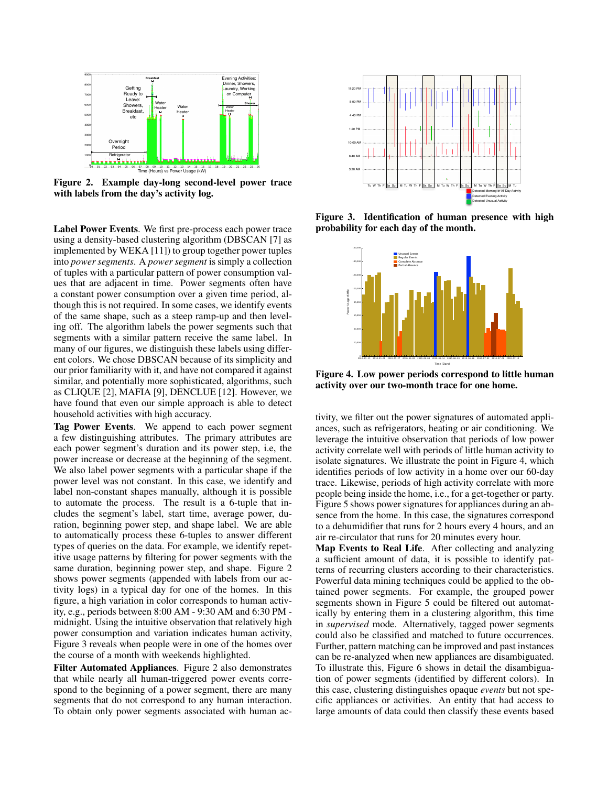

Figure 2. Example day-long second-level power trace with labels from the day's activity log.

Label Power Events. We first pre-process each power trace using a density-based clustering algorithm (DBSCAN [7] as implemented by WEKA [11]) to group together power tuples into *power segments*. A *power segment* is simply a collection of tuples with a particular pattern of power consumption values that are adjacent in time. Power segments often have a constant power consumption over a given time period, although this is not required. In some cases, we identify events of the same shape, such as a steep ramp-up and then leveling off. The algorithm labels the power segments such that segments with a similar pattern receive the same label. In many of our figures, we distinguish these labels using different colors. We chose DBSCAN because of its simplicity and our prior familiarity with it, and have not compared it against similar, and potentially more sophisticated, algorithms, such as CLIQUE [2], MAFIA [9], DENCLUE [12]. However, we have found that even our simple approach is able to detect household activities with high accuracy.

Tag Power Events. We append to each power segment a few distinguishing attributes. The primary attributes are each power segment's duration and its power step, i.e, the power increase or decrease at the beginning of the segment. We also label power segments with a particular shape if the power level was not constant. In this case, we identify and label non-constant shapes manually, although it is possible to automate the process. The result is a 6-tuple that includes the segment's label, start time, average power, duration, beginning power step, and shape label. We are able to automatically process these 6-tuples to answer different types of queries on the data. For example, we identify repetitive usage patterns by filtering for power segments with the same duration, beginning power step, and shape. Figure 2 shows power segments (appended with labels from our activity logs) in a typical day for one of the homes. In this figure, a high variation in color corresponds to human activity, e.g., periods between 8:00 AM - 9:30 AM and 6:30 PM midnight. Using the intuitive observation that relatively high power consumption and variation indicates human activity, Figure 3 reveals when people were in one of the homes over the course of a month with weekends highlighted.

Filter Automated Appliances. Figure 2 also demonstrates that while nearly all human-triggered power events correspond to the beginning of a power segment, there are many segments that do not correspond to any human interaction. To obtain only power segments associated with human ac-



Figure 3. Identification of human presence with high probability for each day of the month.



Figure 4. Low power periods correspond to little human activity over our two-month trace for one home.

tivity, we filter out the power signatures of automated appliances, such as refrigerators, heating or air conditioning. We leverage the intuitive observation that periods of low power activity correlate well with periods of little human activity to isolate signatures. We illustrate the point in Figure 4, which identifies periods of low activity in a home over our 60-day trace. Likewise, periods of high activity correlate with more people being inside the home, i.e., for a get-together or party. Figure 5 shows power signatures for appliances during an absence from the home. In this case, the signatures correspond to a dehumidifier that runs for 2 hours every 4 hours, and an air re-circulator that runs for 20 minutes every hour.

Map Events to Real Life. After collecting and analyzing a sufficient amount of data, it is possible to identify patterns of recurring clusters according to their characteristics. Powerful data mining techniques could be applied to the obtained power segments. For example, the grouped power segments shown in Figure 5 could be filtered out automatically by entering them in a clustering algorithm, this time in *supervised* mode. Alternatively, tagged power segments could also be classified and matched to future occurrences. Further, pattern matching can be improved and past instances can be re-analyzed when new appliances are disambiguated. To illustrate this, Figure 6 shows in detail the disambiguation of power segments (identified by different colors). In this case, clustering distinguishes opaque *events* but not specific appliances or activities. An entity that had access to large amounts of data could then classify these events based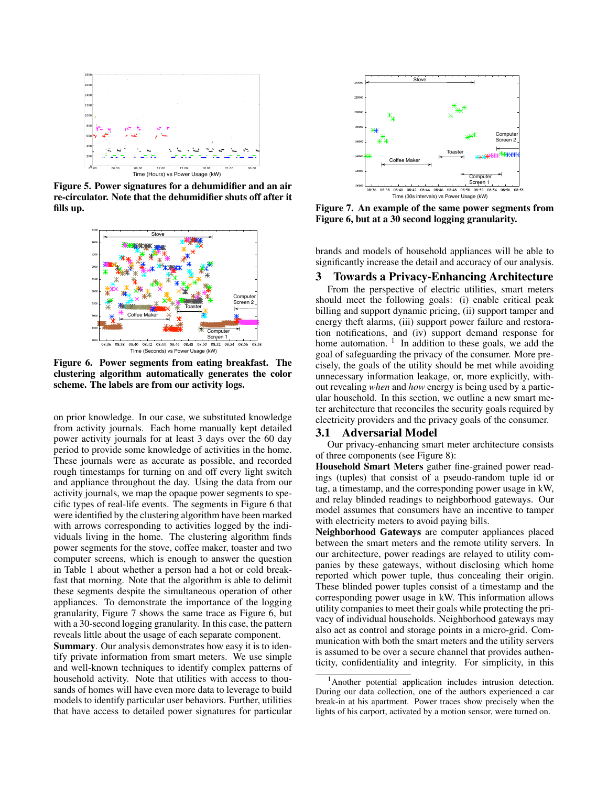

Figure 5. Power signatures for a dehumidifier and an air re-circulator. Note that the dehumidifier shuts off after it fills up.



Figure 6. Power segments from eating breakfast. The clustering algorithm automatically generates the color scheme. The labels are from our activity logs.

on prior knowledge. In our case, we substituted knowledge from activity journals. Each home manually kept detailed power activity journals for at least 3 days over the 60 day period to provide some knowledge of activities in the home. These journals were as accurate as possible, and recorded rough timestamps for turning on and off every light switch and appliance throughout the day. Using the data from our activity journals, we map the opaque power segments to specific types of real-life events. The segments in Figure 6 that were identified by the clustering algorithm have been marked with arrows corresponding to activities logged by the individuals living in the home. The clustering algorithm finds power segments for the stove, coffee maker, toaster and two computer screens, which is enough to answer the question in Table 1 about whether a person had a hot or cold breakfast that morning. Note that the algorithm is able to delimit these segments despite the simultaneous operation of other appliances. To demonstrate the importance of the logging granularity, Figure 7 shows the same trace as Figure 6, but with a 30-second logging granularity. In this case, the pattern reveals little about the usage of each separate component.

Summary. Our analysis demonstrates how easy it is to identify private information from smart meters. We use simple and well-known techniques to identify complex patterns of household activity. Note that utilities with access to thousands of homes will have even more data to leverage to build models to identify particular user behaviors. Further, utilities that have access to detailed power signatures for particular



Figure 7. An example of the same power segments from Figure 6, but at a 30 second logging granularity.

brands and models of household appliances will be able to significantly increase the detail and accuracy of our analysis.

#### 3 Towards a Privacy-Enhancing Architecture

From the perspective of electric utilities, smart meters should meet the following goals: (i) enable critical peak billing and support dynamic pricing, (ii) support tamper and energy theft alarms, (iii) support power failure and restoration notifications, and (iv) support demand response for home automation.  $1$  In addition to these goals, we add the goal of safeguarding the privacy of the consumer. More precisely, the goals of the utility should be met while avoiding unnecessary information leakage, or, more explicitly, without revealing *when* and *how* energy is being used by a particular household. In this section, we outline a new smart meter architecture that reconciles the security goals required by electricity providers and the privacy goals of the consumer.

### 3.1 Adversarial Model

Our privacy-enhancing smart meter architecture consists of three components (see Figure 8):

Household Smart Meters gather fine-grained power readings (tuples) that consist of a pseudo-random tuple id or tag, a timestamp, and the corresponding power usage in kW, and relay blinded readings to neighborhood gateways. Our model assumes that consumers have an incentive to tamper with electricity meters to avoid paying bills.

Neighborhood Gateways are computer appliances placed between the smart meters and the remote utility servers. In our architecture, power readings are relayed to utility companies by these gateways, without disclosing which home reported which power tuple, thus concealing their origin. These blinded power tuples consist of a timestamp and the corresponding power usage in kW. This information allows utility companies to meet their goals while protecting the privacy of individual households. Neighborhood gateways may also act as control and storage points in a micro-grid. Communication with both the smart meters and the utility servers is assumed to be over a secure channel that provides authenticity, confidentiality and integrity. For simplicity, in this

<sup>1</sup>Another potential application includes intrusion detection. During our data collection, one of the authors experienced a car break-in at his apartment. Power traces show precisely when the lights of his carport, activated by a motion sensor, were turned on.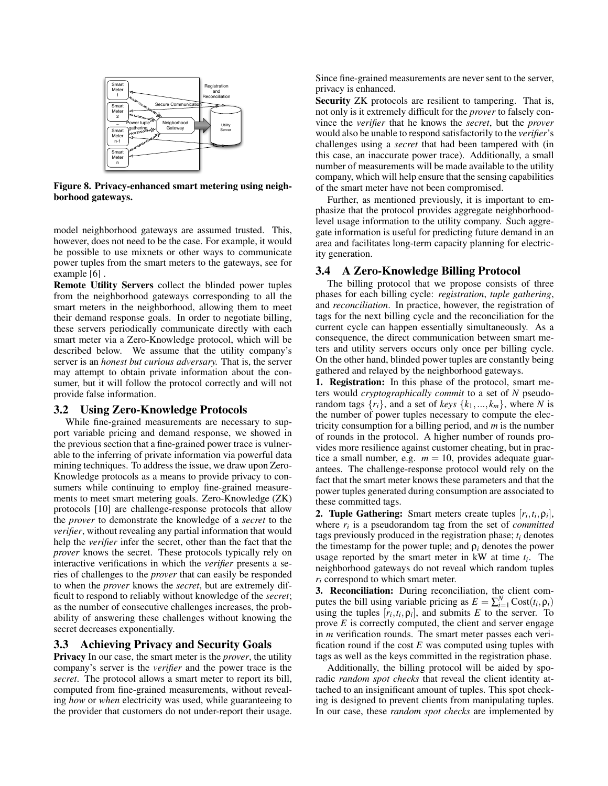

Figure 8. Privacy-enhanced smart metering using neighborhood gateways.

model neighborhood gateways are assumed trusted. This, however, does not need to be the case. For example, it would be possible to use mixnets or other ways to communicate power tuples from the smart meters to the gateways, see for example [6] .

Remote Utility Servers collect the blinded power tuples from the neighborhood gateways corresponding to all the smart meters in the neighborhood, allowing them to meet their demand response goals. In order to negotiate billing, these servers periodically communicate directly with each smart meter via a Zero-Knowledge protocol, which will be described below. We assume that the utility company's server is an *honest but curious adversary.* That is, the server may attempt to obtain private information about the consumer, but it will follow the protocol correctly and will not provide false information.

## 3.2 Using Zero-Knowledge Protocols

While fine-grained measurements are necessary to support variable pricing and demand response, we showed in the previous section that a fine-grained power trace is vulnerable to the inferring of private information via powerful data mining techniques. To address the issue, we draw upon Zero-Knowledge protocols as a means to provide privacy to consumers while continuing to employ fine-grained measurements to meet smart metering goals. Zero-Knowledge (ZK) protocols [10] are challenge-response protocols that allow the *prover* to demonstrate the knowledge of a *secret* to the *verifier*, without revealing any partial information that would help the *verifier* infer the secret, other than the fact that the *prover* knows the secret. These protocols typically rely on interactive verifications in which the *verifier* presents a series of challenges to the *prover* that can easily be responded to when the *prover* knows the *secret*, but are extremely difficult to respond to reliably without knowledge of the *secret*; as the number of consecutive challenges increases, the probability of answering these challenges without knowing the secret decreases exponentially.

# 3.3 Achieving Privacy and Security Goals

Privacy In our case, the smart meter is the *prover*, the utility company's server is the *verifier* and the power trace is the *secret*. The protocol allows a smart meter to report its bill, computed from fine-grained measurements, without revealing *how* or *when* electricity was used, while guaranteeing to the provider that customers do not under-report their usage.

Since fine-grained measurements are never sent to the server, privacy is enhanced.

Security ZK protocols are resilient to tampering. That is, not only is it extremely difficult for the *prover* to falsely convince the *verifier* that he knows the *secret*, but the *prover* would also be unable to respond satisfactorily to the *verifier*'s challenges using a *secret* that had been tampered with (in this case, an inaccurate power trace). Additionally, a small number of measurements will be made available to the utility company, which will help ensure that the sensing capabilities of the smart meter have not been compromised.

Further, as mentioned previously, it is important to emphasize that the protocol provides aggregate neighborhoodlevel usage information to the utility company. Such aggregate information is useful for predicting future demand in an area and facilitates long-term capacity planning for electricity generation.

## 3.4 A Zero-Knowledge Billing Protocol

The billing protocol that we propose consists of three phases for each billing cycle: *registration*, *tuple gathering*, and *reconciliation*. In practice, however, the registration of tags for the next billing cycle and the reconciliation for the current cycle can happen essentially simultaneously. As a consequence, the direct communication between smart meters and utility servers occurs only once per billing cycle. On the other hand, blinded power tuples are constantly being gathered and relayed by the neighborhood gateways.

1. Registration: In this phase of the protocol, smart meters would *cryptographically commit* to a set of *N* pseudorandom tags  $\{r_i\}$ , and a set of *keys*  $\{k_1, ..., k_m\}$ , where *N* is the number of power tuples necessary to compute the electricity consumption for a billing period, and *m* is the number of rounds in the protocol. A higher number of rounds provides more resilience against customer cheating, but in practice a small number, e.g.  $m = 10$ , provides adequate guarantees. The challenge-response protocol would rely on the fact that the smart meter knows these parameters and that the power tuples generated during consumption are associated to these committed tags.

**2. Tuple Gathering:** Smart meters create tuples  $[r_i, t_i, \rho_i]$ , where *r<sup>i</sup>* is a pseudorandom tag from the set of *committed* tags previously produced in the registration phase; *t<sup>i</sup>* denotes the timestamp for the power tuple; and  $\rho_i$  denotes the power usage reported by the smart meter in kW at time *t<sup>i</sup>* . The neighborhood gateways do not reveal which random tuples *r<sup>i</sup>* correspond to which smart meter.

3. Reconciliation: During reconciliation, the client computes the bill using variable pricing as  $E = \sum_{i=1}^{N} \text{Cost}(t_i, \rho_i)$ using the tuples  $[r_i, t_i, \rho_i]$ , and submits *E* to the server. To prove *E* is correctly computed, the client and server engage in *m* verification rounds. The smart meter passes each verification round if the cost  $E$  was computed using tuples with tags as well as the keys committed in the registration phase.

Additionally, the billing protocol will be aided by sporadic *random spot checks* that reveal the client identity attached to an insignificant amount of tuples. This spot checking is designed to prevent clients from manipulating tuples. In our case, these *random spot checks* are implemented by